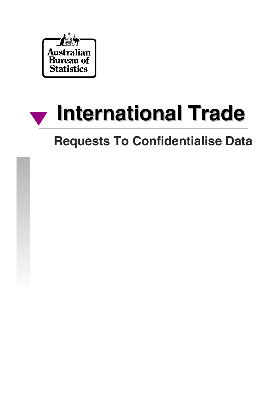

# **International Trade International Trade**

# **Requests To Confidentialise Data**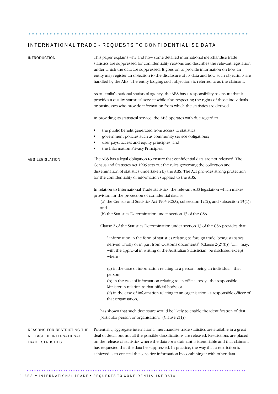..............................................................

| <b>INTRODUCTION</b>                                                                | This paper explains why and how some detailed international merchandise trade<br>statistics are suppressed for confidentiality reasons and describes the relevant legislation<br>under which the data are suppressed. It goes on to provide information on how an<br>entity may register an objection to the disclosure of its data and how such objections are<br>handled by the ABS. The entity lodging such objections is referred to as the claimant.                 |
|------------------------------------------------------------------------------------|---------------------------------------------------------------------------------------------------------------------------------------------------------------------------------------------------------------------------------------------------------------------------------------------------------------------------------------------------------------------------------------------------------------------------------------------------------------------------|
|                                                                                    | As Australia's national statistical agency, the ABS has a responsibility to ensure that it<br>provides a quality statistical service while also respecting the rights of those individuals<br>or businesses who provide information from which the statistics are derived.                                                                                                                                                                                                |
|                                                                                    | In providing its statistical service, the ABS operates with due regard to:                                                                                                                                                                                                                                                                                                                                                                                                |
|                                                                                    | the public benefit generated from access to statistics;<br>٠<br>government policies such as community service obligations;<br>user pays, access and equity principles; and<br>п<br>the Information Privacy Principles.<br>٠                                                                                                                                                                                                                                               |
| ABS LEGISLATION                                                                    | The ABS has a legal obligation to ensure that confidential data are not released. The<br>Census and Statistics Act 1905 sets out the rules governing the collection and<br>dissemination of statistics undertaken by the ABS. The Act provides strong protection<br>for the confidentiality of information supplied to the ABS.                                                                                                                                           |
|                                                                                    | In relation to International Trade statistics, the relevant ABS legislation which makes<br>provision for the protection of confidential data is:<br>(a) the Census and Statistics Act 1905 (CSA), subsection $12(2)$ , and subsection $13(1)$ ;<br>and<br>(b) the Statistics Determination under section 13 of the CSA.                                                                                                                                                   |
|                                                                                    | Clause 2 of the Statistics Determination under section 13 of the CSA provides that:                                                                                                                                                                                                                                                                                                                                                                                       |
|                                                                                    | " information in the form of statistics relating to foreign trade, being statistics<br>derived wholly or in part from Customs documents" (Clause $2(2)(b)$ ) "may,<br>with the approval in writing of the Australian Statistician, be disclosed except<br>where -                                                                                                                                                                                                         |
|                                                                                    | (a) in the case of information relating to a person, being an individual - that<br>person;<br>(b) in the case of information relating to an official body - the responsible<br>Minister in relation to that official body; or<br>(c) in the case of information relating to an organisation - a responsible officer of                                                                                                                                                    |
|                                                                                    | that organisation,                                                                                                                                                                                                                                                                                                                                                                                                                                                        |
|                                                                                    | has shown that such disclosure would be likely to enable the identification of that<br>particular person or organisation." (Clause 2(1))                                                                                                                                                                                                                                                                                                                                  |
| REASONS FOR RESTRICTING THE<br>RELEASE OF INTERNATIONAL<br><b>TRADE STATISTICS</b> | Potentially, aggregate international merchandise trade statistics are available in a great<br>deal of detail but not all the possible classifications are released. Restrictions are placed<br>on the release of statistics where the data for a claimant is identifiable and that claimant<br>has requested that the data be suppressed. In practice, the way that a restriction is<br>achieved is to conceal the sensitive information by combining it with other data. |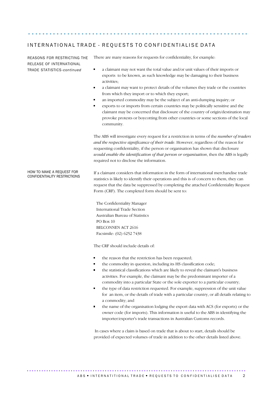..............................................................

REASONS FOR RESTRICTING THE RELEASE OF INTERNATIONAL TRADE STATISTICS-*continued* 

There are many reasons for requests for confidentiality, for example:

- $\blacksquare$ a claimant may not want the total value and/or unit values of their imports or exports to be known, as such knowledge may be damaging to their business activities;
- a claimant may want to protect details of the volumes they trade or the countries  $\blacksquare$ from which they import or to which they export;
- an imported commodity may be the subject of an anti-dumping inquiry; or
- $\blacksquare$ exports to or imports from certain countries may be politically sensitive and the claimant may be concerned that disclosure of the country of origin/destination may provoke protests or boycotting from other countries or some sections of the local community.

The ABS will investigate every request for a restriction in terms of the *number of traders and the respective significance of their trade*. However, regardless of the reason for requesting confidentiality, if the person or organisation has shown that disclosure *would enable the identification of that person or organisation*, then the ABS is legally required not to disclose the information.

HOW TO MAKE A REQUEST FOR CONFIDENTIALITY RESTRICTIONS If a claimant considers that information in the form of international merchandise trade statistics is likely to identify their operations and this is of concern to them, they can request that the data be suppressed by completing the attached Confidentiality Request Form (CRF). The completed form should be sent to:

The Confidentiality Manager International Trade Section Australian Bureau of Statistics PO Box 10 BELCONNEN ACT 2616 Facsimile: (02) 6252 7438

The CRF should include details of:

- the reason that the restriction has been requested;
- the commodity in question, including its HS classification code;
- the statistical classifications which are likely to reveal the claimant's business activities. For example, the claimant may be the predominant importer of a commodity into a particular State or the sole exporter to a particular country;
- the type of data restriction requested. For example, suppression of the unit value for an item, or the details of trade with a particular country, or all details relating to a commodity; and
- the name of the organisation lodging the export data with ACS (for exports) or the owner code (for imports). This information is useful to the ABS in identifying the importer/exporter's trade transactions in Australian Customs records.

 In cases where a claim is based on trade that is about to start, details should be provided of expected volumes of trade in addition to the other details listed above.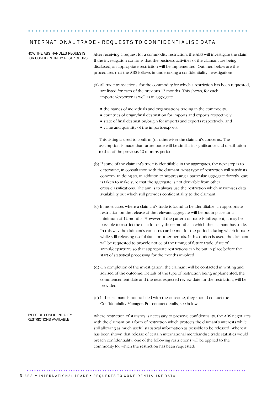..............................................................

#### HOW THE ABS HANDLES REQUESTS FOR CONFIDENTIALITY RESTRICTIONS

After receiving a request for a commodity restriction, the ABS will investigate the claim. If the investigation confirms that the business activities of the claimant are being disclosed, an appropriate restriction will be implemented. Outlined below are the procedures that the ABS follows in undertaking a confidentiality investigation:

- (a)All trade transactions, for the commodity for which a restriction has been requested, are listed for each of the previous 12 months. This shows, for each importer/exporter as well as in aggregate:
	- $\bullet$  the names of individuals and organisations trading in the commodity;
	- countries of origin/final destination for imports and exports respectively;
	- state of final destination/origin for imports and exports respectively; and
	- value and quantity of the imports/exports.

This listing is used to confirm (or otherwise) the claimant's concerns. The assumption is made that future trade will be similar in significance and distribution to that of the previous 12 months period.

- (b) If some of the claimant's trade is identifiable in the aggregates, the next step is to determine, in consultation with the claimant, what type of restriction will satisfy its concern. In doing so, in addition to suppressing a particular aggregate directly, care is taken to make sure that the aggregate is not derivable from other cross-classifications. The aim is to always use the restriction which maximises data availability but which still provides confidentiality to the claimant.
- (c) In most cases where a claimant's trade is found to be identifiable, an appropriate restriction on the release of the relevant aggregate will be put in place for a minimum of 12 months. However, if the pattern of trade is infrequent, it may be possible to restrict the data for only those months in which the claimant has trade. In this way the claimant's concerns can be met for the periods during which it trades while still releasing useful data for other periods. If this option is used, the claimant will be requested to provide notice of the timing of future trade (date of arrival/departure) so that appropriate restrictions can be put in place before the start of statistical processing for the months involved.
- (d) On completion of the investigation, the claimant will be contacted in writing and advised of the outcome. Details of the type of restriction being implemented, the commencement date and the next expected review date for the restriction, will be provided.
- (e) If the claimant is not satisfied with the outcome, they should contact the Confidentiality Manager. For contact details, see below.

Where restriction of statistics is necessary to preserve confidentiality, the ABS negotiates with the claimant on a form of restriction which protects the claimant's interests while still allowing as much useful statistical information as possible to be released. Where it has been shown that release of certain international merchandise trade statistics would breach confidentiality, one of the following restrictions will be applied to the commodity for which the restriction has been requested:

TYPES OF CONFIDENTIALITY<br>RESTRICTIONS AVAILABLE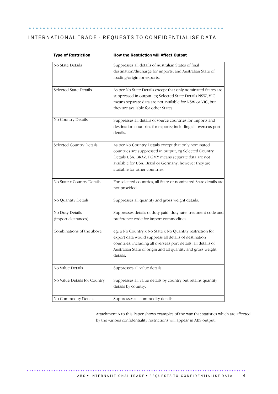....................................................... .......

| No State Details                       | Suppresses all details of Australian States of final<br>destination/discharge for imports, and Australian State of<br>loading/origin for exports.                                                                                                                  |
|----------------------------------------|--------------------------------------------------------------------------------------------------------------------------------------------------------------------------------------------------------------------------------------------------------------------|
| Selected State Details                 | As per No State Details except that only nominated States are<br>suppressed in output, eg Selected State Details NSW, VIC<br>means separate data are not available for NSW or VIC, but<br>they are available for other States.                                     |
| No Country Details                     | Suppresses all details of source countries for imports and<br>destination countries for exports; including all overseas port<br>details.                                                                                                                           |
| Selected Country Details               | As per No Country Details except that only nominated<br>countries are suppressed in output, eg Selected Country<br>Details USA, BRAZ, FGMY means separate data are not<br>available for USA, Brazil or Germany, however they are<br>available for other countries. |
| No State x Country Details             | For selected countries, all State or nominated State details are<br>not provided.                                                                                                                                                                                  |
| No Quantity Details                    | Suppresses all quantity and gross weight details.                                                                                                                                                                                                                  |
| No Duty Details<br>(import clearances) | Suppresses details of duty paid, duty rate, treatment code and<br>preference code for import commodities.                                                                                                                                                          |
| Combinations of the above              | eg: a No Country x No State x No Quantity restriction for<br>export data would suppress all details of destination<br>countries, including all overseas port details, all details of<br>Australian State of origin and all quantity and gross weight<br>details.   |
| No Value Details                       | Suppresses all value details.                                                                                                                                                                                                                                      |
| No Value Details for Country           | Suppresses all value details by country but retains quantity<br>details by country.                                                                                                                                                                                |
| No Commodity Details                   | Suppresses all commodity details.                                                                                                                                                                                                                                  |

Type of Restriction How the Restriction will Affect Output

> Attachment A to this Paper shows examples of the way that statistics which are affected by the various confidentiality restrictions will appear in ABS output.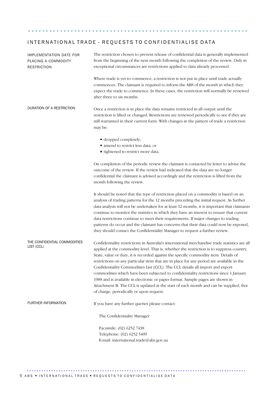..............................................................

| <b>IMPLEMENTATION DATE FOR</b><br>PLACING A COMMODITY<br><b>RESTRICTION</b> | The restriction chosen to prevent release of confidential data is generally implemented<br>from the beginning of the next month following the completion of the review. Only in<br>exceptional circumstances are restrictions applied to data already processed.                                                                                                                                                                                                                                                                                                                                                                                                                                                                                                                 |
|-----------------------------------------------------------------------------|----------------------------------------------------------------------------------------------------------------------------------------------------------------------------------------------------------------------------------------------------------------------------------------------------------------------------------------------------------------------------------------------------------------------------------------------------------------------------------------------------------------------------------------------------------------------------------------------------------------------------------------------------------------------------------------------------------------------------------------------------------------------------------|
|                                                                             | Where trade is yet to commence, a restriction is not put in place until trade actually<br>commences. The claimant is required to inform the ABS of the month in which they<br>expect the trade to commence. In these cases, the restriction will normally be reviewed<br>after three to six months.                                                                                                                                                                                                                                                                                                                                                                                                                                                                              |
| DURATION OF A RESTRICTION                                                   | Once a restriction is in place the data remains restricted in all output until the<br>restriction is lifted or changed. Restrictions are reviewed periodically to see if they are<br>still warranted in their current form. With changes in the pattern of trade a restriction<br>may be:                                                                                                                                                                                                                                                                                                                                                                                                                                                                                        |
|                                                                             | • dropped completely;<br>amend to restrict less data: or<br>• tightened to restrict more data.                                                                                                                                                                                                                                                                                                                                                                                                                                                                                                                                                                                                                                                                                   |
|                                                                             | On completion of the periodic review the claimant is contacted by letter to advise the<br>outcome of the review. If the review had indicated that the data are no longer<br>confidential the claimant is advised accordingly and the restriction is lifted from the<br>month following the review.                                                                                                                                                                                                                                                                                                                                                                                                                                                                               |
|                                                                             | It should be noted that the type of restriction placed on a commodity is based on an<br>analysis of trading patterns for the 12 months preceding the initial request. As further<br>data analysis will not be undertaken for at least 12 months, it is important that claimants<br>continue to monitor the statistics in which they have an interest to ensure that current<br>data restrictions continue to meet their requirements. If major changes to trading<br>patterns do occur and the claimant has concerns that their data could now be exposed,<br>they should contact the Confidentiality Manager to request a further review.                                                                                                                                       |
| THE CONFIDENTIAL COMMODITIES<br>LIST (CCL)                                  | Confidentiality restrictions in Australia's international merchandise trade statistics are all<br>applied at the commodity level. That is, whether the restriction is to suppress country,<br>State, value or duty, it is recorded against the specific commodity item. Details of<br>restrictions on any particular item that are in place for any period are available in the<br>Confidentiality Commodities List (CCL). The CCL details all import and export<br>commodities which have been subjected to confidentiality restrictions since 1 January<br>1988 and is available in electronic or paper format. Sample pages are shown in<br>Attachment B. The CCL is updated at the start of each month and can be supplied, free<br>of charge, periodically or upon request. |
| FURTHER INFORMATION                                                         | If you have any further queries please contact:                                                                                                                                                                                                                                                                                                                                                                                                                                                                                                                                                                                                                                                                                                                                  |
|                                                                             | The Confidentiality Manager                                                                                                                                                                                                                                                                                                                                                                                                                                                                                                                                                                                                                                                                                                                                                      |
|                                                                             | Facsimile: (02) 6252 7438<br>Telephone: (02) 6252 5409<br>E-mail: international.trade@abs.gov.au                                                                                                                                                                                                                                                                                                                                                                                                                                                                                                                                                                                                                                                                                 |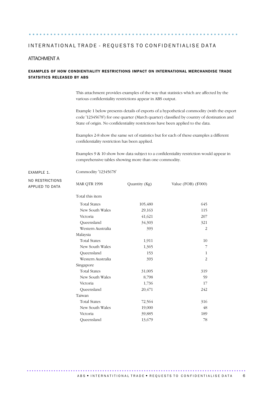Commodity '12345678'

#### ATTACHMENT A

#### EXAMPLES OF HOW CONDIENTIALITY RESTRICTIONS IMPACT ON INTERNATIONAL MERCHANDISE TRADE STATSITICS RELEASED BY ABS

........................................................... ...

This attachment provides examples of the way that statistics which are affected by the various confidentiality restrictions appear in ABS output.

Example 1 below presents details of exports of a hypothetical commodity (with the export code '12345678') for one quarter (March quarter) classified by country of destination and State of origin. No confidentiality restrictions have been applied to the data.

Examples 2-8 show the same set of statistics but for each of these examples a different confidentiality restriction has been applied.

Examples 9 & 10 show how data subject to a confidentiality restriction would appear in comprehensive tables showing more than one commodity.

EXAMPLE 1. NO RESTRICTIONS APPLIED TO DATA

| <b>MAR QTR 1998</b> | Quantity (Kg) | Value (FOB) $(\$'000)$ |
|---------------------|---------------|------------------------|
| Total this item     |               |                        |
| <b>Total States</b> | 105,480       | 645                    |
| New South Wales     | 29,163        | 115                    |
| Victoria            | 41,621        | 207                    |
| Queensland          | 34,303        | 321                    |
| Western Australia   | 393           | 2                      |
| Malaysia            |               |                        |
| <b>Total States</b> | 1,911         | 10                     |
| New South Wales     | 1,365         | 7                      |
| Queensland          | 153           | 1                      |
| Western Australia   | 393           | $\overline{c}$         |
| Singapore           |               |                        |
| <b>Total States</b> | 31,005        | 319                    |
| New South Wales     | 8,798         | 59                     |
| Victoria            | 1,736         | 17                     |
| Queensland          | 20,471        | 242                    |
| Taiwan              |               |                        |
| <b>Total States</b> | 72,564        | 316                    |
| New South Wales     | 19,000        | 48                     |
| Victoria            | 39,885        | 189                    |
| Oueensland          | 13,679        | 78                     |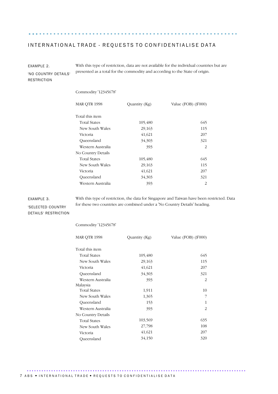EXAMPLE 2. 'NO COUNTRY DETAILS' RESTRICTION With this type of restriction, data are not available for the individual countries but are presented as a total for the commodity and according to the State of origin.

........................................................... ...

#### Commodity '12345678'

| MAR QTR 1998        | Quantity (Kg) | Value (FOB) (\$'000)        |
|---------------------|---------------|-----------------------------|
| Total this item     |               |                             |
| <b>Total States</b> | 105,480       | 645                         |
| New South Wales     | 29,163        | 115                         |
| Victoria            | 41,621        | 207                         |
| Queensland          | 34,303        | 321                         |
| Western Australia   | 393           | $\mathcal{P}_{\mathcal{L}}$ |
| No Country Details  |               |                             |
| <b>Total States</b> | 105,480       | 645                         |
| New South Wales     | 29,163        | 115                         |
| Victoria            | 41,621        | 207                         |
| Queensland          | 34,303        | 321                         |
| Western Australia   | 393           | 2                           |
|                     |               |                             |

for these two countries are combined under a 'No Country Details' heading.

With this type of restriction, the data for Singapore and Taiwan have been restricted. Data

#### EXAMPLE 3.

'SELECTED COUNTRY DETAILS' RESTRICTION

| Commodity '12345678' |               |                      |
|----------------------|---------------|----------------------|
| <b>MAR QTR 1998</b>  | Quantity (Kg) | Value (FOB) (\$'000) |
| Total this item      |               |                      |
| <b>Total States</b>  | 105,480       | 645                  |
| New South Wales      | 29,163        | 115                  |
| Victoria             | 41,621        | 207                  |
| Queensland           | 34,303        | 321                  |
| Western Australia    | 393           | $\overline{c}$       |
| Malaysia             |               |                      |
| <b>Total States</b>  | 1,911         | 10                   |
| New South Wales      | 1,365         | 7                    |
| Queensland           | 153           | $\mathbf{1}$         |
| Western Australia    | 393           | $\overline{c}$       |
| No Country Details   |               |                      |
| <b>Total States</b>  | 103,569       | 635                  |
| New South Wales      | 27,798        | 108                  |
| Victoria             | 41,621        | 207                  |
| Queensland           | 34,150        | 320                  |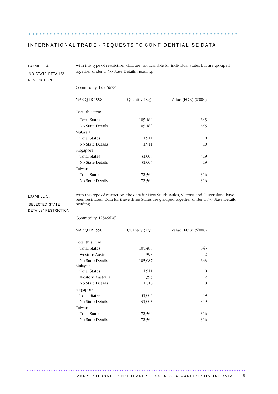........................................................... ...

| EXAMPLE 4.                               | With this type of restriction, data are not available for individual States but are grouped |               |                      |  |  |
|------------------------------------------|---------------------------------------------------------------------------------------------|---------------|----------------------|--|--|
| 'NO STATE DETAILS'<br><b>RESTRICTION</b> | together under a 'No State Details' heading.                                                |               |                      |  |  |
|                                          | Commodity '12345678'                                                                        |               |                      |  |  |
|                                          | <b>MAR QTR 1998</b>                                                                         | Quantity (Kg) | Value (FOB) (\$'000) |  |  |
|                                          | Total this item                                                                             |               |                      |  |  |
|                                          | <b>Total States</b>                                                                         | 105,480       | 645                  |  |  |
|                                          | No State Details                                                                            | 105,480       | 645                  |  |  |
|                                          | Malaysia                                                                                    |               |                      |  |  |
|                                          | <b>Total States</b>                                                                         | 1,911         | 10                   |  |  |
|                                          | No State Details                                                                            | 1,911         | 10                   |  |  |
|                                          | Singapore                                                                                   |               |                      |  |  |
|                                          | <b>Total States</b>                                                                         | 319           |                      |  |  |
|                                          | No State Details                                                                            | 31,005        | 319                  |  |  |
|                                          | Taiwan                                                                                      |               |                      |  |  |
|                                          | <b>Total States</b>                                                                         | 72,564        | 316                  |  |  |
|                                          | No State Details                                                                            | 72,564        | 316                  |  |  |
|                                          |                                                                                             |               |                      |  |  |

EXAMPLE 5.

With this type of restriction, the data for New South Wales, Victoria and Queensland have been restricted. Data for these three States are grouped together under a 'No State Details' heading.

'SELECTED STATE DETAILS' RESTRICTION

Commodity '12345678'

| <b>MAR QTR 1998</b> | Quantity (Kg) | Value (FOB) (\$'000) |
|---------------------|---------------|----------------------|
| Total this item     |               |                      |
| <b>Total States</b> | 105,480       | 645                  |
| Western Australia   | 393           | $\mathcal{L}$        |
| No State Details    | 105,087       | 643                  |
| Malaysia            |               |                      |
| <b>Total States</b> | 1,911         | 10                   |
| Western Australia   | 393           | 2                    |
| No State Details    | 1,518         | 8                    |
| Singapore           |               |                      |
| <b>Total States</b> | 31,005        | 319                  |
| No State Details    | 31,005        | 319                  |
| Taiwan              |               |                      |
| <b>Total States</b> | 72,564        | 316                  |
| No State Details    | 72,564        | 316                  |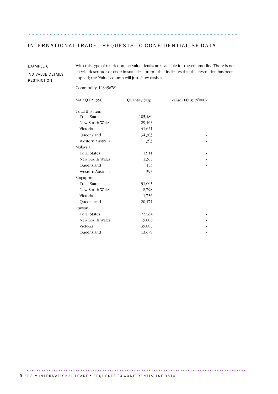........................................................... ...

EXAMPLE 6.

'NO VALUE DETAILS' RESTRICTION

With this type of restriction, no value details are available for the commodity. There is no special descriptor or code in statistical output that indicates that this restriction has been applied; the 'Value' column will just show dashes.

Commodity '12345678'

| <b>MAR QTR 1998</b> | Quantity (Kg) | Value (FOB) $(\$'000)$ |
|---------------------|---------------|------------------------|
| Total this item     |               |                        |
| <b>Total States</b> | 105,480       |                        |
| New South Wales     | 29,163        |                        |
| Victoria            | 41,621        |                        |
| Queensland          | 34,303        |                        |
| Western Australia   | 393           |                        |
| Malaysia            |               |                        |
| <b>Total States</b> | 1,911         |                        |
| New South Wales     | 1,365         |                        |
| Queensland          | 153           |                        |
| Western Australia   | 393           |                        |
| Singapore           |               |                        |
| <b>Total States</b> | 31,005        |                        |
| New South Wales     | 8,798         |                        |
| Victoria            | 1,736         |                        |
| Queensland          | 20,471        |                        |
| Taiwan              |               |                        |
| <b>Total States</b> | 72,564        |                        |
| New South Wales     | 19,000        |                        |
| Victoria            | 39,885        |                        |
| Queensland          | 13,679        |                        |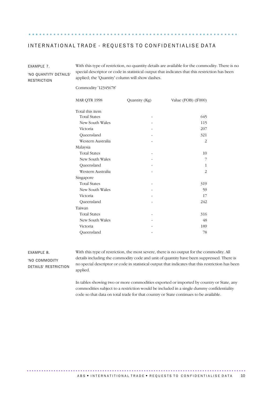........................................................... ...

With this type of restriction, no quantity details are available for the commodity. There is no

| 'NO QUANTITY DETAILS'<br><b>RESTRICTION</b> | special descriptor or code in statistical output that indicates that this restriction has been<br>applied; the 'Quantity' column will show dashes. |               |                      |  |  |  |
|---------------------------------------------|----------------------------------------------------------------------------------------------------------------------------------------------------|---------------|----------------------|--|--|--|
|                                             | Commodity '12345678'                                                                                                                               |               |                      |  |  |  |
|                                             | <b>MAR QTR 1998</b>                                                                                                                                | Quantity (Kg) | Value (FOB) (\$'000) |  |  |  |
|                                             | Total this item                                                                                                                                    |               |                      |  |  |  |
|                                             | <b>Total States</b>                                                                                                                                |               | 645                  |  |  |  |
|                                             | New South Wales                                                                                                                                    |               | 115                  |  |  |  |
|                                             | Victoria                                                                                                                                           |               | 207                  |  |  |  |
|                                             | Queensland                                                                                                                                         |               | 321                  |  |  |  |
|                                             | Western Australia                                                                                                                                  |               | 2                    |  |  |  |
|                                             | Malaysia                                                                                                                                           |               |                      |  |  |  |
|                                             | <b>Total States</b>                                                                                                                                |               | 10                   |  |  |  |
|                                             | New South Wales                                                                                                                                    |               | 7                    |  |  |  |
|                                             | Queensland                                                                                                                                         |               | 1                    |  |  |  |
|                                             | Western Australia                                                                                                                                  |               | 2                    |  |  |  |
|                                             | Singapore                                                                                                                                          |               |                      |  |  |  |
|                                             | <b>Total States</b>                                                                                                                                |               | 319                  |  |  |  |
|                                             | New South Wales                                                                                                                                    |               | 59                   |  |  |  |
|                                             | Victoria                                                                                                                                           |               | 17                   |  |  |  |
|                                             | Queensland                                                                                                                                         |               | 242                  |  |  |  |
|                                             | Taiwan                                                                                                                                             |               |                      |  |  |  |
|                                             | <b>Total States</b>                                                                                                                                |               | 316                  |  |  |  |

EXAMPLE 8. 'NO COMMODITY DETAILS' RESTRICTION

EXAMPLE 7.

With this type of restriction, the most severe, there is no output for the commodity. All details including the commodity code and unit of quantity have been suppressed. There is no special descriptor or code in statistical output that indicates that this restriction has been applied.

New South Wales 48 Victoria - 189 Queensland 78

In tables showing two or more commodities exported or imported by country or State, any commodities subject to a restriction would be included in a single dummy confidentiality code so that data on total trade for that country or State continues to be available.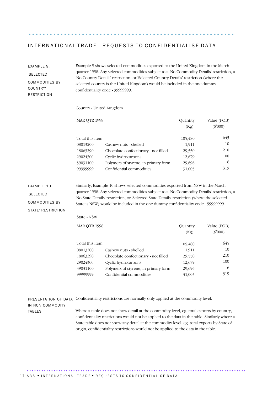.......................................................... ....

EXAMPLE 9. 'SELECTED COMMODITIES BY COUNTRY' **RESTRICTION** 

Example 9 shows selected commodities exported to the United Kingdom in the March quarter 1998. Any selected commodities subject to a 'No Commodity Details' restriction, a 'No Country Details' restriction, or 'Selected Country Details' restriction (where the selected country is the United Kingdom) would be included in the one dummy confidentiality code - 99999999.

Country - United Kingdom

| <b>MAR QTR 1998</b> |                                      | Quantity | Value (FOB) |
|---------------------|--------------------------------------|----------|-------------|
|                     |                                      | (Kg)     | $(\$'000)$  |
|                     |                                      |          |             |
| Total this item     |                                      | 105,480  | 645         |
| 08013200            | Cashew nuts - shelled                | 1,911    | 10          |
| 18063290            | Chocolate confectionary - not filled | 29,550   | 210         |
| 29024300            | Cyclic hydrocarbons                  | 12,679   | 100         |
| 39031100            | Polymers of styrene, in primary form | 29,696   | 6           |
| 99999999            | Confidential commodities             | 31,005   | 319         |

Similarly, Example 10 shows selected commodities exported from NSW in the March quarter 1998. Any selected commodities subject to a 'No Commodity Details' restriction, a 'No State Details' restriction, or 'Selected State Details' restriction (where the selected State is NSW) would be included in the one dummy confidentiality code - 99999999.

COMMODITIES BY STATE' RESTRICTION

EXAMPLE 10. 'SELECTED

State - NSW

| <b>MAR QTR 1998</b> |                                      | Quantity | Value (FOB) |
|---------------------|--------------------------------------|----------|-------------|
|                     |                                      | (Kg)     | $(\$'000)$  |
| Total this item     |                                      | 105,480  | 645         |
| 08013200            | Cashew nuts - shelled                | 1,911    | 10          |
| 18063290            | Chocolate confectionary - not filled | 29,550   | 210         |
| 29024300            | Cyclic hydrocarbons                  | 12,679   | 100         |
| 39031100            | Polymers of styrene, in primary form | 29,696   | 6           |
| 99999999            | Confidential commodities             | 31,005   | 319         |

PRESENTATION OF DATA Confidentiality restrictions are normally only applied at the commodity level.

IN NON COMMODITY TABLES

Where a table does not show detail at the commodity level, eg. total exports by country, confidentiality restrictions would not be applied to the data in the table. Similarly where a State table does not show any detail at the commodity level, eg. total exports by State of origin, confidentiality restrictions would not be applied to the data in the table.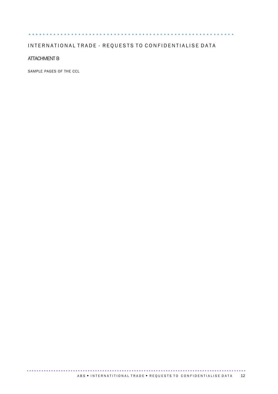#### .......................................................... ....

#### INTERNATIONAL TRADE - REQUESTS TO CONFIDENTIALISE DATA

#### ATTACHMENT B

SAMPLE PAGES OF THE CCL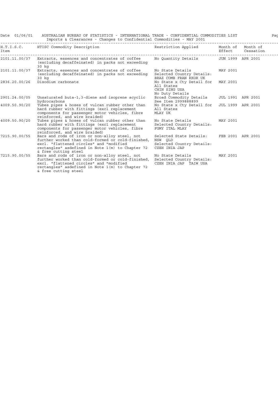| Date 01/06/01 | AUSTRALIAN BUREAU OF STATISTICS - INTERNATIONAL TRADE - CONFIDENTIAL COMMODITIES LIST<br>Imports & Clearances - Changes to Confidential Commodities - MAY 2001                                                                                      |                                                                                                    |          | Pac              |
|---------------|-----------------------------------------------------------------------------------------------------------------------------------------------------------------------------------------------------------------------------------------------------|----------------------------------------------------------------------------------------------------|----------|------------------|
| Item          | H.T.I.S.C. HTISC Commodity Description                                                                                                                                                                                                              | Restriction Applied Month of Month of                                                              |          | Effect Cessation |
| 2101.11.00/37 | Extracts, essences and concentrates of coffee<br>(excluding decaffeinated) in packs not exceeding<br>30 kg                                                                                                                                          | No Ouantity Details 5 JUN 1999 APR 2001                                                            |          |                  |
| 2101.11.00/37 | Extracts, essences and concentrates of coffee<br>(excluding decaffeinated) in packs not exceeding<br>30 kg                                                                                                                                          | No State Details<br>Selected Country Details:<br>BRAZ COMB FRAN RKOR UK                            | MAY 2001 |                  |
| 2836.20.00/26 | Disodium carbonate                                                                                                                                                                                                                                  | No State x Cty Detail for MAY 2001<br>All States<br>CHIN SING USA<br>No Duty Details               |          |                  |
| 2901.24.00/05 | Unsaturated buta-1,3-diene and isoprene acyclic<br>hydrocarbons                                                                                                                                                                                     | Broad Commodity Details JUL 1991 APR 2001<br>See Item 2999888899                                   |          |                  |
| 4009.50.90/20 | Tubes pipes & hoses of vulcan rubber other than<br>hard rubber with fittings (excl replacement<br>components for passenger motor vehicles, fibre<br>reinforced, and wire braided)                                                                   | No State x Cty Detail for JUL 1999 APR 2001<br>All States<br>MLAY UK                               |          |                  |
| 4009.50.90/20 | Tubes pipes & hoses of vulcan rubber other than<br>hard rubber with fittings (excl replacement<br>components for passenger motor vehicles, fibre<br>reinforced, and wire braided)                                                                   | No State Details<br>Selected Country Details:<br>FGMY ITAL MLAY                                    | MAY 2001 |                  |
| 7215.90.00/55 | Bars and rods of iron or non-alloy steel, not<br>further worked than cold-formed or cold-finished,<br>excl. "flattened circles" and "modified<br>rectangles" asdefined in Note 1(m) to Chapter 72<br>& free cutting steel                           | Selected State Details: FEB 2001 APR 2001<br>NSW OLD<br>Selected Country Details:<br>CZEH INIA JAP |          |                  |
| 7215.90.00/55 | Bars and rods of iron or non-alloy steel, not<br>further worked than cold-formed or cold-finished, Selected Country Details:<br>excl. "flattened circles" and "modified<br>rectangles" asdefined in Note 1(m) to Chapter 72<br>& free cutting steel | No State Details<br>CZEH INIA JAP TAIW USA                                                         | MAY 2001 |                  |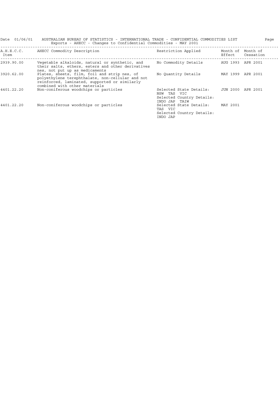| Date 01/06/01      | AUSTRALIAN BUREAU OF STATISTICS - INTERNATIONAL TRADE - CONFIDENTIAL COMMODITIES LIST<br>Exports - AHECC - Changes to Confidential Commodities - MAY 2001                          |                                                                                         |                    | Page                  |
|--------------------|------------------------------------------------------------------------------------------------------------------------------------------------------------------------------------|-----------------------------------------------------------------------------------------|--------------------|-----------------------|
| A.H.E.C.C.<br>Item | AHECC Commodity Description                                                                                                                                                        | Restriction Applied                                                                     | Month of<br>Effect | Month of<br>Cessation |
| 2939.90.00         | Vegetable alkaloids, natural or synthetic, and<br>their salts, ethers, esters and other derivatives<br>nes, not put up as medicaments                                              | No Commodity Details                                                                    | AUG 1993           | APR 2001              |
| 3920.62.00         | Plates, sheets, film, foil and strip nes, of<br>polyethylene terephthalate, non-cellular and not<br>reinforced, laminated, supported or similarly<br>combined with other materials | No Ouantity Details                                                                     | MAY 1999 APR 2001  |                       |
| 4401.22.20         | Non-coniferous woodchips or particles                                                                                                                                              | Selected State Details:<br>NSW TAS VIC<br>Selected Country Details:<br>INDO JAP<br>TAIW | JUN 2000 APR 2001  |                       |
| 4401.22.20         | Non-coniferous woodchips or particles                                                                                                                                              | Selected State Details:<br>TAS VIC<br>Selected Country Details:<br>INDO JAP             | MAY 2001           |                       |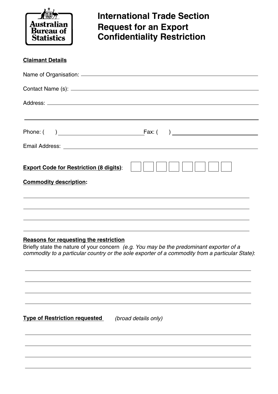

### **International Trade Section Request for an Export Confidentiality Restriction**

| <b>Claimant Details</b>                        |  |
|------------------------------------------------|--|
|                                                |  |
|                                                |  |
|                                                |  |
|                                                |  |
|                                                |  |
|                                                |  |
| <b>Export Code for Restriction (8 digits):</b> |  |
| <b>Commodity description:</b>                  |  |
|                                                |  |
|                                                |  |
|                                                |  |

#### **Reasons for requesting the restriction**

Briefly state the nature of your concern *(e.g. You may be the predominant exporter of a commodity to a particular country or the sole exporter of a commodity from a particular State)*:

**Type of Restriction requested** *(broad details only)*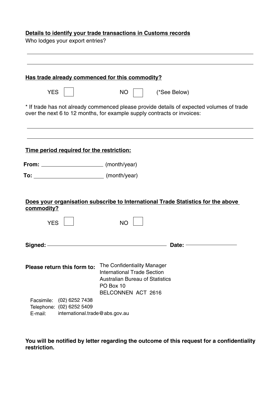#### **Details to identify your trade transactions in Customs records**

Who lodges your export entries?

|                          |                                                                               | Has trade already commenced for this commodity?                                                                                                                     |  |
|--------------------------|-------------------------------------------------------------------------------|---------------------------------------------------------------------------------------------------------------------------------------------------------------------|--|
| <b>YES</b>               |                                                                               | $NO$    <br>(*See Below)                                                                                                                                            |  |
|                          |                                                                               | * If trade has not already commenced please provide details of expected volumes of trade<br>over the next 6 to 12 months, for example supply contracts or invoices: |  |
|                          | Time period required for the restriction:                                     |                                                                                                                                                                     |  |
|                          | From: (month/year)                                                            |                                                                                                                                                                     |  |
|                          |                                                                               |                                                                                                                                                                     |  |
| commodity?<br><b>YES</b> |                                                                               | Does your organisation subscribe to International Trade Statistics for the above<br><b>NO</b>                                                                       |  |
|                          |                                                                               | Date: $\overline{\phantom{iiiiiiiiiiiiiiiiiiiii}}$                                                                                                                  |  |
|                          | Please return this form to:                                                   | The Confidentiality Manager<br><b>International Trade Section</b><br><b>Australian Bureau of Statistics</b><br>PO Box 10<br>BELCONNEN ACT 2616                      |  |
| Facsimile:<br>E-mail:    | (02) 6252 7438<br>Telephone: (02) 6252 5409<br>international.trade@abs.gov.au |                                                                                                                                                                     |  |

**You will be notified by letter regarding the outcome of this request for a confidentiality restriction.**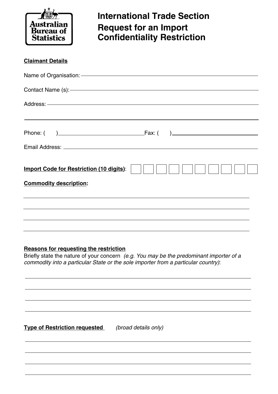

## **International Trade Section Request for an Import Confidentiality Restriction**

| <b>Claimant Details</b>                                                    |
|----------------------------------------------------------------------------|
| Name of Organisation: <u>- with an analytical</u> control of Organisation: |
|                                                                            |
|                                                                            |
|                                                                            |
|                                                                            |
|                                                                            |
| <b>Import Code for Restriction (10 digits):</b>                            |
| <b>Commodity description:</b>                                              |
|                                                                            |
|                                                                            |
|                                                                            |

#### **Reasons for requesting the restriction**

Briefly state the nature of your concern *(e.g. You may be the predominant importer of a commodity into a particular State or the sole importer from a particular country)*:

**Type of Restriction requested** *(broad details only)*